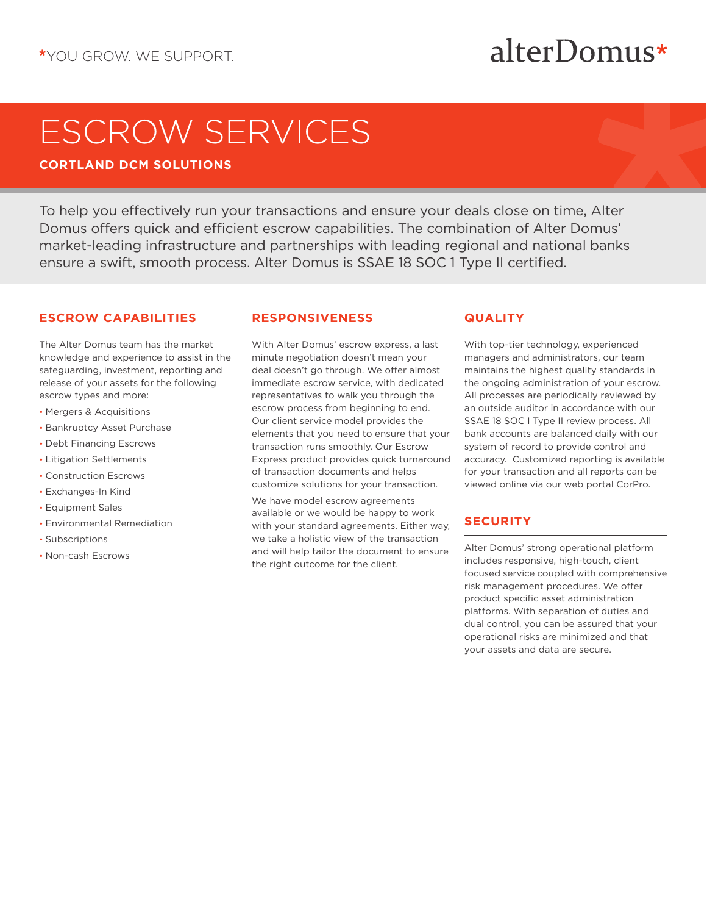## alterDomus\*

# ESCROW SERVICES

**CORTLAND DCM SOLUTIONS**

To help you effectively run your transactions and ensure your deals close on time, Alter Domus offers quick and efficient escrow capabilities. The combination of Alter Domus' market-leading infrastructure and partnerships with leading regional and national banks ensure a swift, smooth process. Alter Domus is SSAE 18 SOC 1 Type II certified.

#### **ESCROW CAPABILITIES**

The Alter Domus team has the market knowledge and experience to assist in the safeguarding, investment, reporting and release of your assets for the following escrow types and more:

- Mergers & Acquisitions
- Bankruptcy Asset Purchase
- Debt Financing Escrows
- Litigation Settlements
- Construction Escrows
- Exchanges-In Kind
- Equipment Sales
- Environmental Remediation
- Subscriptions
- Non-cash Escrows

#### **RESPONSIVENESS**

With Alter Domus' escrow express, a last minute negotiation doesn't mean your deal doesn't go through. We offer almost immediate escrow service, with dedicated representatives to walk you through the escrow process from beginning to end. Our client service model provides the elements that you need to ensure that your transaction runs smoothly. Our Escrow Express product provides quick turnaround of transaction documents and helps customize solutions for your transaction.

We have model escrow agreements available or we would be happy to work with your standard agreements. Either way, we take a holistic view of the transaction and will help tailor the document to ensure the right outcome for the client.

#### **QUALITY**

With top-tier technology, experienced managers and administrators, our team maintains the highest quality standards in the ongoing administration of your escrow. All processes are periodically reviewed by an outside auditor in accordance with our SSAE 18 SOC I Type II review process. All bank accounts are balanced daily with our system of record to provide control and accuracy. Customized reporting is available for your transaction and all reports can be viewed online via our web portal CorPro.

### **SECURITY**

Alter Domus' strong operational platform includes responsive, high-touch, client focused service coupled with comprehensive risk management procedures. We offer product specific asset administration platforms. With separation of duties and dual control, you can be assured that your operational risks are minimized and that your assets and data are secure.